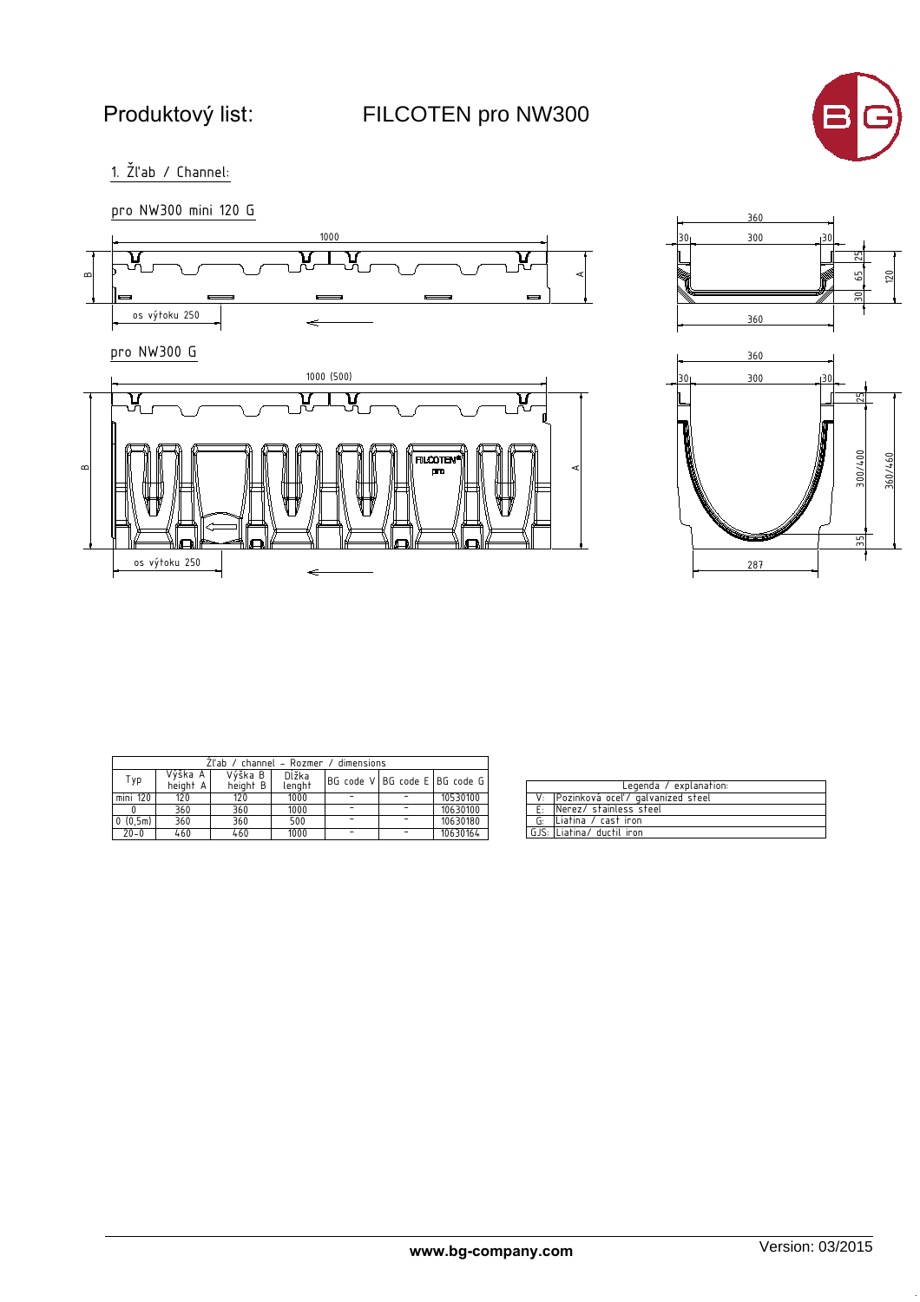FILCOTEN pro NW300



 $1.$   $\check{Z}$ l'ab / Channel:





| Zl'ab / channel – Rozmer / dimensions |                     |                     |                 |                                   |  |          |  |
|---------------------------------------|---------------------|---------------------|-----------------|-----------------------------------|--|----------|--|
| Typ                                   | Výška A<br>height A | Výška B<br>height B | Dĺžka<br>lenght | BG code V   BG code E   BG code G |  |          |  |
| mini 120                              | 120                 | 120                 | 1000            |                                   |  | 10530100 |  |
|                                       | 360                 | 360                 | 1000            |                                   |  | 10630100 |  |
| 0(0,5m)                               | 360                 | 360                 | 500             |                                   |  | 10630180 |  |
| $20 - 0$                              | 460                 | 460                 | 1000            |                                   |  | 10630164 |  |

| Legenda / explanation: |                                     |  |  |  |  |
|------------------------|-------------------------------------|--|--|--|--|
|                        | V: Pozinková oceľ/ galvanized steel |  |  |  |  |
|                        | E: INerez/ stainless steel          |  |  |  |  |
|                        | G: Liatina / cast iron              |  |  |  |  |
|                        | GJS: Liatina/ ductil iron           |  |  |  |  |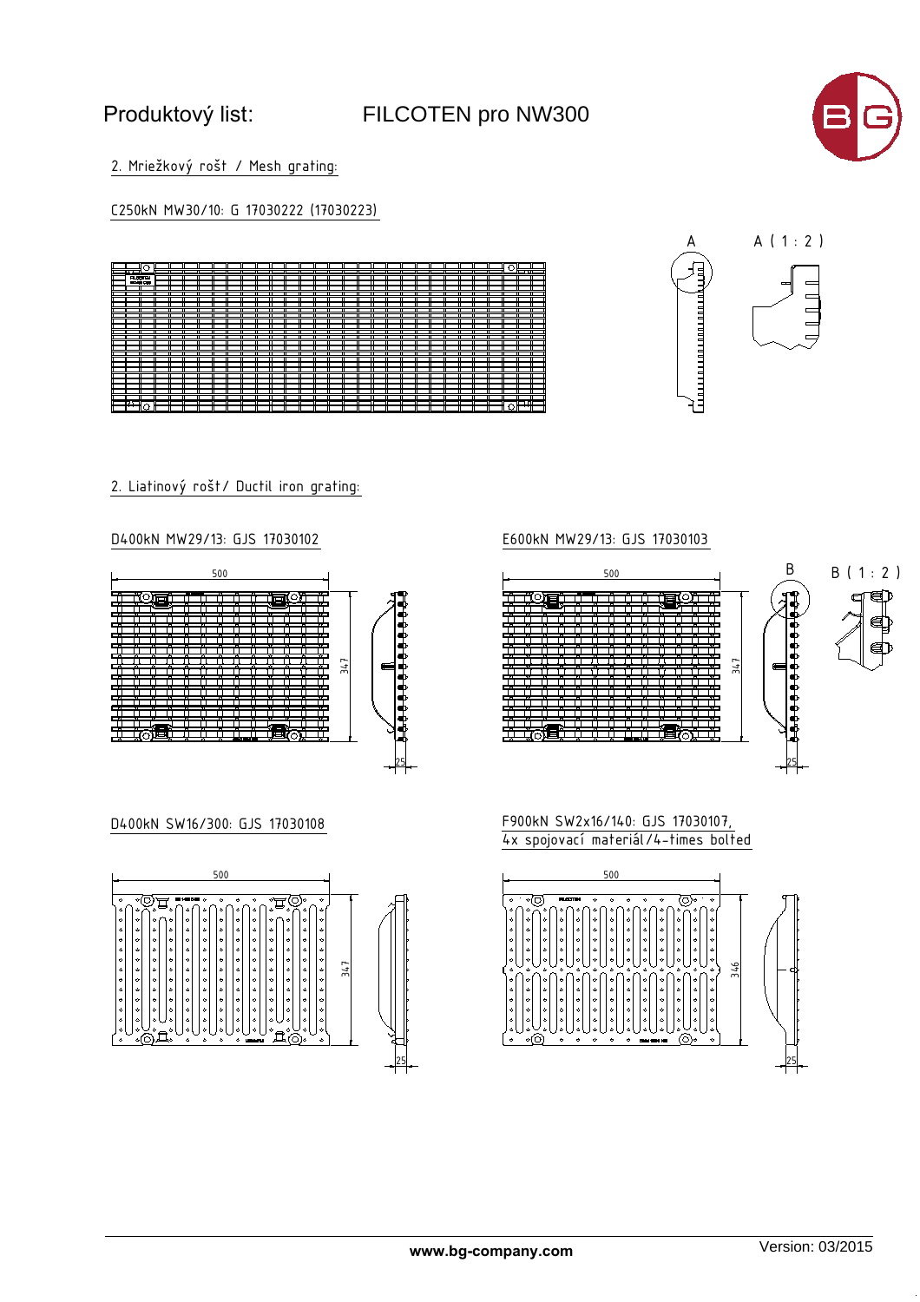# Produktový list:

## FILCOTEN pro NW300



2. Mriežkový rošt / Mesh grating:

C250kN MW30/10: G 17030222 (17030223)



2. Liatinový rošt/ Ductil iron grating:

### D400kN MW29/13: GJS 17030102



## D400kN SW16/300: GJS 17030108



## E600kN MW29/13: GJS 17030103



F900kN SW2x16/140: GJS 17030107,  $4x$  spojovací materiál/4-times bolted